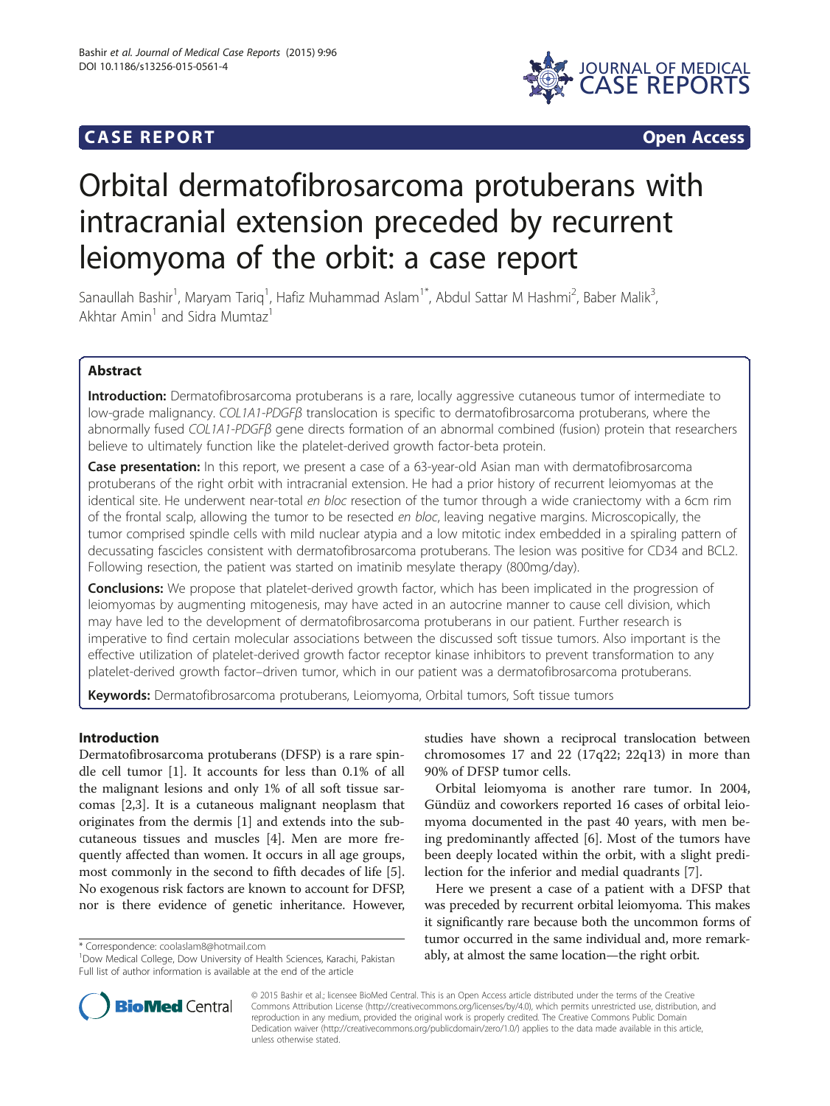### **CASE REPORT CASE REPORT**



# Orbital dermatofibrosarcoma protuberans with intracranial extension preceded by recurrent leiomyoma of the orbit: a case report

Sanaullah Bashir<sup>1</sup>, Maryam Tariq<sup>1</sup>, Hafiz Muhammad Aslam<sup>1\*</sup>, Abdul Sattar M Hashmi<sup>2</sup>, Baber Malik<sup>3</sup> , Akhtar Amin<sup>1</sup> and Sidra Mumtaz<sup>1</sup>

#### Abstract

Introduction: Dermatofibrosarcoma protuberans is a rare, locally aggressive cutaneous tumor of intermediate to low-grade malignancy. COL1A1-PDGFβ translocation is specific to dermatofibrosarcoma protuberans, where the abnormally fused COL1A1-PDGFβ gene directs formation of an abnormal combined (fusion) protein that researchers believe to ultimately function like the platelet-derived growth factor-beta protein.

**Case presentation:** In this report, we present a case of a 63-year-old Asian man with dermatofibrosarcoma protuberans of the right orbit with intracranial extension. He had a prior history of recurrent leiomyomas at the identical site. He underwent near-total en bloc resection of the tumor through a wide craniectomy with a 6cm rim of the frontal scalp, allowing the tumor to be resected en bloc, leaving negative margins. Microscopically, the tumor comprised spindle cells with mild nuclear atypia and a low mitotic index embedded in a spiraling pattern of decussating fascicles consistent with dermatofibrosarcoma protuberans. The lesion was positive for CD34 and BCL2. Following resection, the patient was started on imatinib mesylate therapy (800mg/day).

**Conclusions:** We propose that platelet-derived growth factor, which has been implicated in the progression of leiomyomas by augmenting mitogenesis, may have acted in an autocrine manner to cause cell division, which may have led to the development of dermatofibrosarcoma protuberans in our patient. Further research is imperative to find certain molecular associations between the discussed soft tissue tumors. Also important is the effective utilization of platelet-derived growth factor receptor kinase inhibitors to prevent transformation to any platelet-derived growth factor–driven tumor, which in our patient was a dermatofibrosarcoma protuberans.

Keywords: Dermatofibrosarcoma protuberans, Leiomyoma, Orbital tumors, Soft tissue tumors

#### Introduction

Dermatofibrosarcoma protuberans (DFSP) is a rare spindle cell tumor [[1\]](#page-3-0). It accounts for less than 0.1% of all the malignant lesions and only 1% of all soft tissue sarcomas [[2,3\]](#page-3-0). It is a cutaneous malignant neoplasm that originates from the dermis [\[1](#page-3-0)] and extends into the subcutaneous tissues and muscles [\[4](#page-4-0)]. Men are more frequently affected than women. It occurs in all age groups, most commonly in the second to fifth decades of life [\[5](#page-4-0)]. No exogenous risk factors are known to account for DFSP, nor is there evidence of genetic inheritance. However,

studies have shown a reciprocal translocation between chromosomes 17 and 22  $(17q22; 22q13)$  in more than 90% of DFSP tumor cells.

Orbital leiomyoma is another rare tumor. In 2004, Gündüz and coworkers reported 16 cases of orbital leiomyoma documented in the past 40 years, with men being predominantly affected [\[6\]](#page-4-0). Most of the tumors have been deeply located within the orbit, with a slight predilection for the inferior and medial quadrants [\[7\]](#page-4-0).

Here we present a case of a patient with a DFSP that was preceded by recurrent orbital leiomyoma. This makes it significantly rare because both the uncommon forms of tumor occurred in the same individual and, more remarkably, at almon occurred in the same individual and, more<br>
<sup>1</sup>Dow Medical College. Dow University of Health Sciences. Karachi. Pakistan ably, at almost the same location—the right orbit.



© 2015 Bashir et al.; licensee BioMed Central. This is an Open Access article distributed under the terms of the Creative Commons Attribution License [\(http://creativecommons.org/licenses/by/4.0\)](http://creativecommons.org/licenses/by/4.0), which permits unrestricted use, distribution, and reproduction in any medium, provided the original work is properly credited. The Creative Commons Public Domain Dedication waiver [\(http://creativecommons.org/publicdomain/zero/1.0/](http://creativecommons.org/publicdomain/zero/1.0/)) applies to the data made available in this article, unless otherwise stated.

<sup>&</sup>lt;sup>1</sup> Dow Medical College, Dow University of Health Sciences, Karachi, Pakistan Full list of author information is available at the end of the article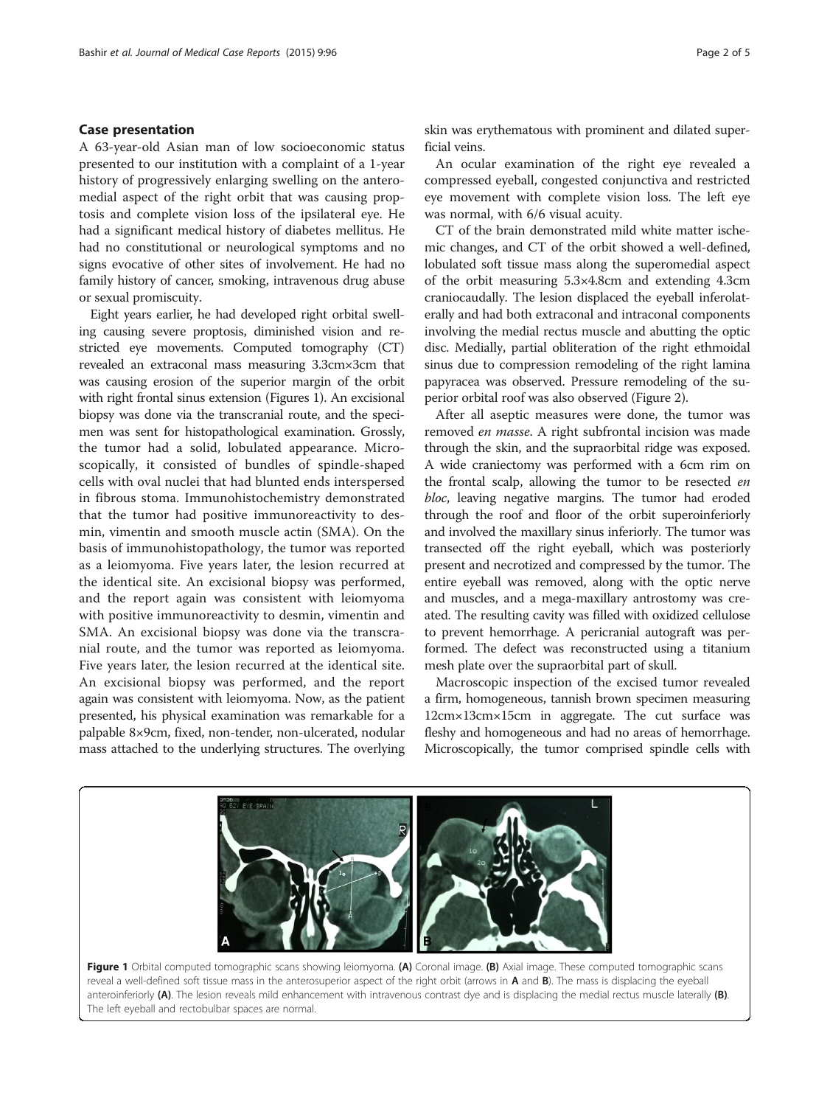#### Case presentation

A 63-year-old Asian man of low socioeconomic status presented to our institution with a complaint of a 1-year history of progressively enlarging swelling on the anteromedial aspect of the right orbit that was causing proptosis and complete vision loss of the ipsilateral eye. He had a significant medical history of diabetes mellitus. He had no constitutional or neurological symptoms and no signs evocative of other sites of involvement. He had no family history of cancer, smoking, intravenous drug abuse or sexual promiscuity.

Eight years earlier, he had developed right orbital swelling causing severe proptosis, diminished vision and restricted eye movements. Computed tomography (CT) revealed an extraconal mass measuring 3.3cm×3cm that was causing erosion of the superior margin of the orbit with right frontal sinus extension (Figures 1). An excisional biopsy was done via the transcranial route, and the specimen was sent for histopathological examination. Grossly, the tumor had a solid, lobulated appearance. Microscopically, it consisted of bundles of spindle-shaped cells with oval nuclei that had blunted ends interspersed in fibrous stoma. Immunohistochemistry demonstrated that the tumor had positive immunoreactivity to desmin, vimentin and smooth muscle actin (SMA). On the basis of immunohistopathology, the tumor was reported as a leiomyoma. Five years later, the lesion recurred at the identical site. An excisional biopsy was performed, and the report again was consistent with leiomyoma with positive immunoreactivity to desmin, vimentin and SMA. An excisional biopsy was done via the transcranial route, and the tumor was reported as leiomyoma. Five years later, the lesion recurred at the identical site. An excisional biopsy was performed, and the report again was consistent with leiomyoma. Now, as the patient presented, his physical examination was remarkable for a palpable 8×9cm, fixed, non-tender, non-ulcerated, nodular mass attached to the underlying structures. The overlying skin was erythematous with prominent and dilated superficial veins.

An ocular examination of the right eye revealed a compressed eyeball, congested conjunctiva and restricted eye movement with complete vision loss. The left eye was normal, with 6/6 visual acuity.

CT of the brain demonstrated mild white matter ischemic changes, and CT of the orbit showed a well-defined, lobulated soft tissue mass along the superomedial aspect of the orbit measuring 5.3×4.8cm and extending 4.3cm craniocaudally. The lesion displaced the eyeball inferolaterally and had both extraconal and intraconal components involving the medial rectus muscle and abutting the optic disc. Medially, partial obliteration of the right ethmoidal sinus due to compression remodeling of the right lamina papyracea was observed. Pressure remodeling of the superior orbital roof was also observed (Figure [2](#page-2-0)).

After all aseptic measures were done, the tumor was removed en masse. A right subfrontal incision was made through the skin, and the supraorbital ridge was exposed. A wide craniectomy was performed with a 6cm rim on the frontal scalp, allowing the tumor to be resected en bloc, leaving negative margins. The tumor had eroded through the roof and floor of the orbit superoinferiorly and involved the maxillary sinus inferiorly. The tumor was transected off the right eyeball, which was posteriorly present and necrotized and compressed by the tumor. The entire eyeball was removed, along with the optic nerve and muscles, and a mega-maxillary antrostomy was created. The resulting cavity was filled with oxidized cellulose to prevent hemorrhage. A pericranial autograft was performed. The defect was reconstructed using a titanium mesh plate over the supraorbital part of skull.

Macroscopic inspection of the excised tumor revealed a firm, homogeneous, tannish brown specimen measuring 12cm×13cm×15cm in aggregate. The cut surface was fleshy and homogeneous and had no areas of hemorrhage. Microscopically, the tumor comprised spindle cells with



Figure 1 Orbital computed tomographic scans showing leiomyoma. (A) Coronal image. (B) Axial image. These computed tomographic scans reveal a well-defined soft tissue mass in the anterosuperior aspect of the right orbit (arrows in A and B). The mass is displacing the eyeball anteroinferiorly (A). The lesion reveals mild enhancement with intravenous contrast dye and is displacing the medial rectus muscle laterally (B). The left eyeball and rectobulbar spaces are normal.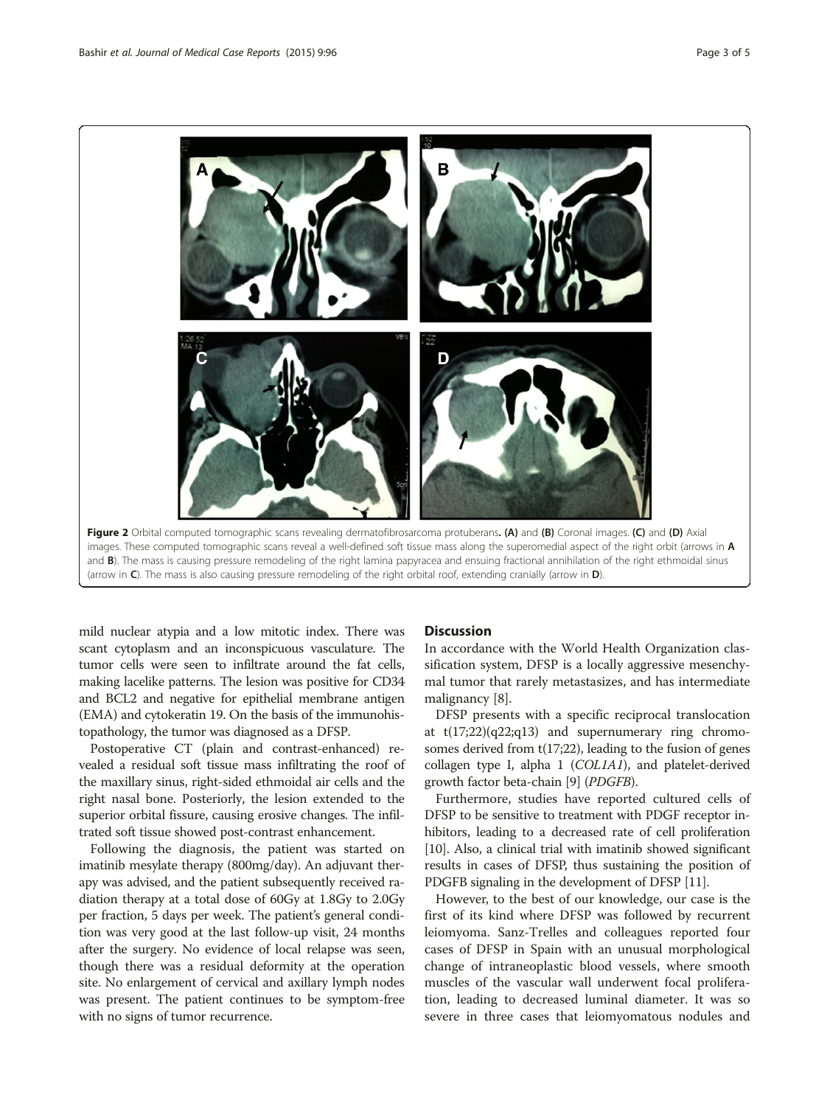<span id="page-2-0"></span>

mild nuclear atypia and a low mitotic index. There was scant cytoplasm and an inconspicuous vasculature. The tumor cells were seen to infiltrate around the fat cells, making lacelike patterns. The lesion was positive for CD34 and BCL2 and negative for epithelial membrane antigen (EMA) and cytokeratin 19. On the basis of the immunohistopathology, the tumor was diagnosed as a DFSP.

Postoperative CT (plain and contrast-enhanced) revealed a residual soft tissue mass infiltrating the roof of the maxillary sinus, right-sided ethmoidal air cells and the right nasal bone. Posteriorly, the lesion extended to the superior orbital fissure, causing erosive changes. The infiltrated soft tissue showed post-contrast enhancement.

Following the diagnosis, the patient was started on imatinib mesylate therapy (800mg/day). An adjuvant therapy was advised, and the patient subsequently received radiation therapy at a total dose of 60Gy at 1.8Gy to 2.0Gy per fraction, 5 days per week. The patient's general condition was very good at the last follow-up visit, 24 months after the surgery. No evidence of local relapse was seen, though there was a residual deformity at the operation site. No enlargement of cervical and axillary lymph nodes was present. The patient continues to be symptom-free with no signs of tumor recurrence.

#### **Discussion**

In accordance with the World Health Organization classification system, DFSP is a locally aggressive mesenchymal tumor that rarely metastasizes, and has intermediate malignancy [\[8](#page-4-0)].

DFSP presents with a specific reciprocal translocation at  $t(17;22)(q22;q13)$  and supernumerary ring chromosomes derived from t(17;22), leading to the fusion of genes collagen type I, alpha 1 (COL1A1), and platelet-derived growth factor beta-chain [\[9\]](#page-4-0) (PDGFΒ).

Furthermore, studies have reported cultured cells of DFSP to be sensitive to treatment with PDGF receptor inhibitors, leading to a decreased rate of cell proliferation [[10](#page-4-0)]. Also, a clinical trial with imatinib showed significant results in cases of DFSP, thus sustaining the position of PDGFB signaling in the development of DFSP [\[11](#page-4-0)].

However, to the best of our knowledge, our case is the first of its kind where DFSP was followed by recurrent leiomyoma. Sanz-Trelles and colleagues reported four cases of DFSP in Spain with an unusual morphological change of intraneoplastic blood vessels, where smooth muscles of the vascular wall underwent focal proliferation, leading to decreased luminal diameter. It was so severe in three cases that leiomyomatous nodules and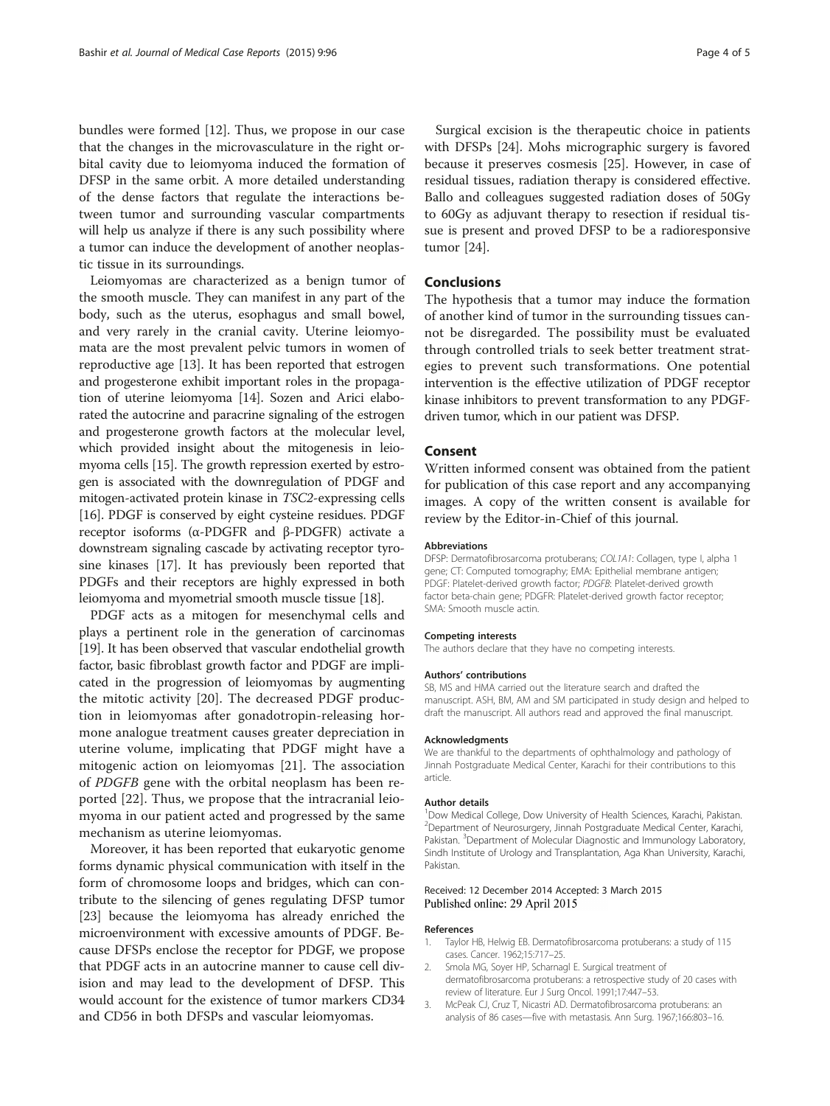<span id="page-3-0"></span>bundles were formed [\[12\]](#page-4-0). Thus, we propose in our case that the changes in the microvasculature in the right orbital cavity due to leiomyoma induced the formation of DFSP in the same orbit. A more detailed understanding of the dense factors that regulate the interactions between tumor and surrounding vascular compartments will help us analyze if there is any such possibility where a tumor can induce the development of another neoplastic tissue in its surroundings.

Leiomyomas are characterized as a benign tumor of the smooth muscle. They can manifest in any part of the body, such as the uterus, esophagus and small bowel, and very rarely in the cranial cavity. Uterine leiomyomata are the most prevalent pelvic tumors in women of reproductive age [\[13](#page-4-0)]. It has been reported that estrogen and progesterone exhibit important roles in the propagation of uterine leiomyoma [\[14\]](#page-4-0). Sozen and Arici elaborated the autocrine and paracrine signaling of the estrogen and progesterone growth factors at the molecular level, which provided insight about the mitogenesis in leiomyoma cells [\[15\]](#page-4-0). The growth repression exerted by estrogen is associated with the downregulation of PDGF and mitogen-activated protein kinase in TSC2-expressing cells [[16](#page-4-0)]. PDGF is conserved by eight cysteine residues. PDGF receptor isoforms (α-PDGFR and β-PDGFR) activate a downstream signaling cascade by activating receptor tyrosine kinases [[17](#page-4-0)]. It has previously been reported that PDGFs and their receptors are highly expressed in both leiomyoma and myometrial smooth muscle tissue [[18\]](#page-4-0).

PDGF acts as a mitogen for mesenchymal cells and plays a pertinent role in the generation of carcinomas [[19](#page-4-0)]. It has been observed that vascular endothelial growth factor, basic fibroblast growth factor and PDGF are implicated in the progression of leiomyomas by augmenting the mitotic activity [\[20](#page-4-0)]. The decreased PDGF production in leiomyomas after gonadotropin-releasing hormone analogue treatment causes greater depreciation in uterine volume, implicating that PDGF might have a mitogenic action on leiomyomas [\[21](#page-4-0)]. The association of PDGFB gene with the orbital neoplasm has been reported [\[22](#page-4-0)]. Thus, we propose that the intracranial leiomyoma in our patient acted and progressed by the same mechanism as uterine leiomyomas.

Moreover, it has been reported that eukaryotic genome forms dynamic physical communication with itself in the form of chromosome loops and bridges, which can contribute to the silencing of genes regulating DFSP tumor [[23\]](#page-4-0) because the leiomyoma has already enriched the microenvironment with excessive amounts of PDGF. Because DFSPs enclose the receptor for PDGF, we propose that PDGF acts in an autocrine manner to cause cell division and may lead to the development of DFSP. This would account for the existence of tumor markers CD34 and CD56 in both DFSPs and vascular leiomyomas.

Surgical excision is the therapeutic choice in patients with DFSPs [\[24\]](#page-4-0). Mohs micrographic surgery is favored because it preserves cosmesis [\[25\]](#page-4-0). However, in case of residual tissues, radiation therapy is considered effective. Ballo and colleagues suggested radiation doses of 50Gy to 60Gy as adjuvant therapy to resection if residual tissue is present and proved DFSP to be a radioresponsive tumor [\[24](#page-4-0)].

#### Conclusions

The hypothesis that a tumor may induce the formation of another kind of tumor in the surrounding tissues cannot be disregarded. The possibility must be evaluated through controlled trials to seek better treatment strategies to prevent such transformations. One potential intervention is the effective utilization of PDGF receptor kinase inhibitors to prevent transformation to any PDGFdriven tumor, which in our patient was DFSP.

#### Consent

Written informed consent was obtained from the patient for publication of this case report and any accompanying images. A copy of the written consent is available for review by the Editor-in-Chief of this journal.

#### Abbreviations

DFSP: Dermatofibrosarcoma protuberans; COL1A1: Collagen, type I, alpha 1 gene; CT: Computed tomography; EMA: Epithelial membrane antigen; PDGF: Platelet-derived growth factor; PDGFB: Platelet-derived growth factor beta-chain gene; PDGFR: Platelet-derived growth factor receptor; SMA: Smooth muscle actin.

#### Competing interests

The authors declare that they have no competing interests.

#### Authors' contributions

SB, MS and HMA carried out the literature search and drafted the manuscript. ASH, BM, AM and SM participated in study design and helped to draft the manuscript. All authors read and approved the final manuscript.

#### Acknowledgments

We are thankful to the departments of ophthalmology and pathology of Jinnah Postgraduate Medical Center, Karachi for their contributions to this article.

#### Author details

<sup>1</sup>Dow Medical College, Dow University of Health Sciences, Karachi, Pakistan. <sup>2</sup>Department of Neurosurgery, Jinnah Postgraduate Medical Center, Karachi, Pakistan. <sup>3</sup>Department of Molecular Diagnostic and Immunology Laboratory, Sindh Institute of Urology and Transplantation, Aga Khan University, Karachi, Pakistan.

## Received: 12 December 2014 Accepted: 3 March 2015<br>Published online: 29 April 2015

#### References

- 1. Taylor HB, Helwig EB. Dermatofibrosarcoma protuberans: a study of 115 cases. Cancer. 1962;15:717–25.
- 2. Smola MG, Soyer HP, Scharnagl E. Surgical treatment of dermatofibrosarcoma protuberans: a retrospective study of 20 cases with review of literature. Eur J Surg Oncol. 1991;17:447–53.
- 3. McPeak CJ, Cruz T, Nicastri AD. Dermatofibrosarcoma protuberans: an analysis of 86 cases—five with metastasis. Ann Surg. 1967;166:803–16.